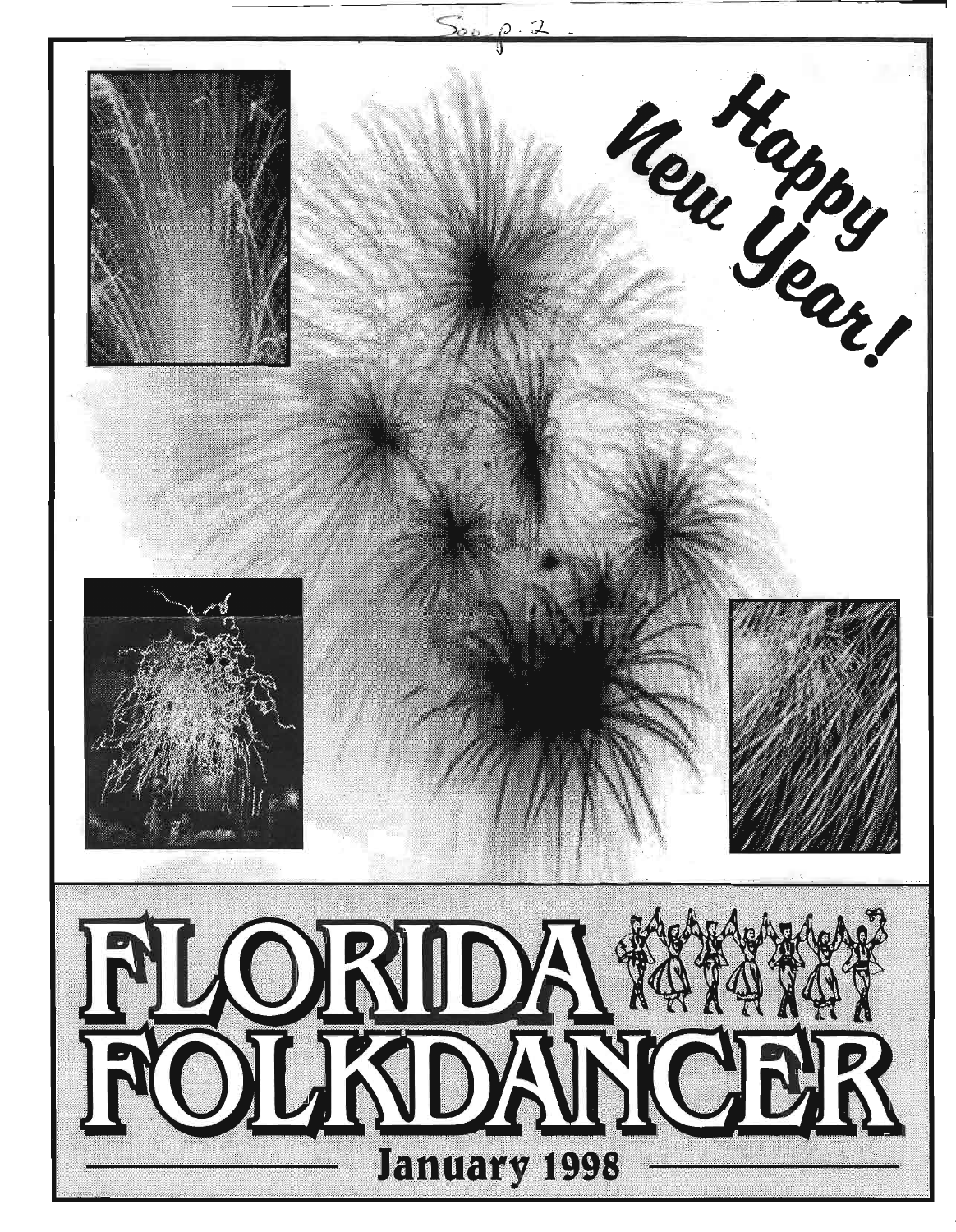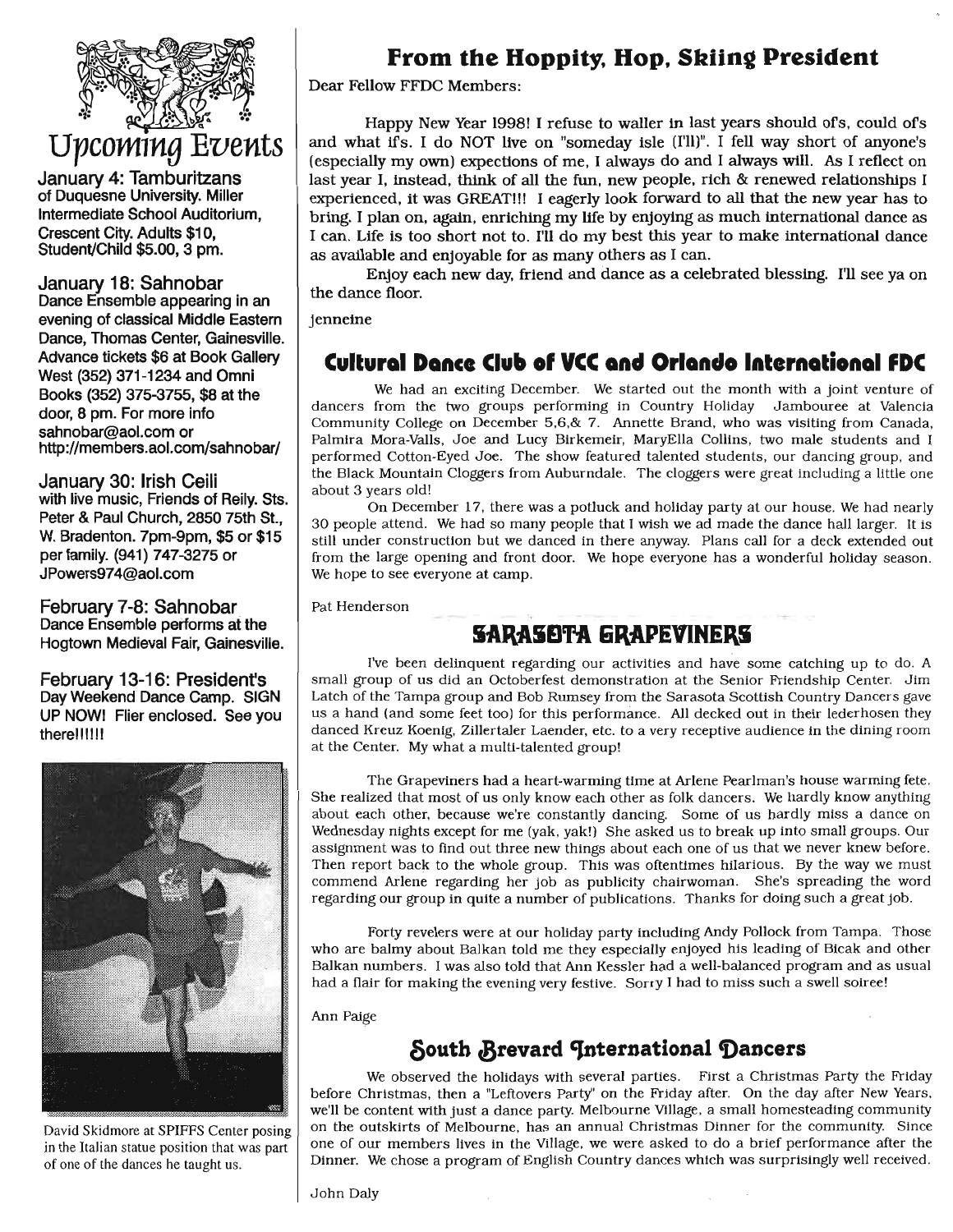

January 4: Tamburitzans of Duquesne University. Miller Intermediate School Auditorium, Crescent City. Adults \$10, Student/Child \$5.00, 3 pm.

January 18: Sahnobar Dance Ensemble appearing in an evening of classical Middle Eastern Dance, Thomas Center, Gainesville. Advance tickets \$6 at Book Gallery West (352) 371-1234 and Omni Books (352) 375-3755, \$8 at the door, 8 pm. For more info sahnobar@aol.com or http://members.aol.com/sahnobar/

January 30: Irish Ceili with live music, Friends of Reily. Sts. Peter & Paul Church, 2850 75th St., W. Bradenton. 7pm-9pm, \$5 or \$15 per family. (941) 747-3275 or JPowers974@aol.com

February 7-8: Sahnobar Dance Ensemble performs at the Hogtown Medieval Fair, Gainesville.

February 13-16: President's Day Weekend Dance Camp. SIGN UP NOWI Flier enclosed. See you there!!!!!!



David Skidmore at SPIFFS Center posing in the Italian statue position that was part of one of the dances he taught us.

## From the Hoppity, Hop, Skiing President

Dear Fellow FFDC Members:

Happy New Year 1998! I refuse to waller in last years should of's, could of's and what If's. I do NOT live on "someday isle (I'll)". I fell way short of anyone's (especially my own) expections of me, I always do and I always will. As I reflect on last year I, instead, think of all the fun, new people, rich & renewed relationships I experienced, it was GREAT!!! I eagerly look forward to all that the new year has to bring. I plan on, again, enriching my life by enjoying as much international dance as I can. Life is too short not to. I'll do my best this year to make international dance as available and enjoyable for as many others as I can.

Enjoy each new day, friend and dance as a celebrated blessing. I'll see ya on the dance floor.

jenneine

### Cultural Dance Club of VCC and Orlando International FDC

We had an exciting December. We started out the month with a joint venture of dancers from the two groups performing in Country Holiday Jambouree at Valencia Community College on December 5,6,& 7. Annette Brand, who was visiting from Canada, Palmira Mora-Valls, Joe and Lucy Blrkemetr, MaryElla Collins, two male students and I performed Cotton-Eyed Joe. The show featured talented students, our dancing group, and the Black Mountain Cloggers from Auburndale. The cloggers were great including a little one about 3 years old!

On December 17, there was a potluck and holiday party at our house. Wehad nearly 30 people attend. Wehad so many people that I wish we ad made the dance hall larger. It is still under construction but we danced in there anyway. Plans call for a deck extended out from the large opening and front door. We hope everyone has a wonderful holiday season. We hope to see everyone at camp.

Pat Henderson

# **SARASOTA GRAPEVINERS**

I've been delinquent regarding our activities and have some catching up to do. A small group of us did an Octoberfest demonstration at the Senior Friendship Center. Jim Latch of the Tampa group and Bob Rumsey from the Sarasota Scottish Country Dancers gave us a hand (and some feet too) for this performance. All decked out in their lederhosen they danced Kreuz Koenig, Zillertaler Laender, etc. to a very receptive audience in the dining room at the Center. Mywhat a multi-talented group!

The Grapeviners had a heart-warming time at Arlene Pearlman's house warming fete. She realized that most of us only know each other as folk dancers. Wehardly know anything about each other, because we're constantly dancing. Some of us hardly miss a dance on Wednesday nights except for me (yak, yak!) She asked us to break up into small groups. Our assignment was to find out three new things about each one of us that we never knew before. Then report back to the whole group. This was oftentimes hilarious. By the way we must commend Arlene regarding her job as publicity chairwoman. She's spreading the word regarding our group in quite a number of publications. Thanks for doing such a great job.

Forty revelers were at our holiday party including Andy Pollock from Tampa. Those who are balmy about Balkan told me they especially enjoyed his leading of Bleak and other Balkan numbers. I was also told that Ann Kessler had a well-balanced program and as usual had a flair for making the evening very festive. Sorry I had to miss such a swell soiree!

Ann Paige

## South Brevard International Dancers

We observed the holidays with several parties. First a Christmas Party the Friday before Christmas, then a "Leftovers Party" on the Friday after. On the day after New Years, we'll be content with just a dance party. Melbourne Village, a small homesteading community on the outskirts of Melbourne, has an annual Christmas Dinner for the community. Since one of our members lives in the Village, we were asked to do a brief performance after the Dinner. Wechose a program of English Country dances which was surprisingly well received.

John Daly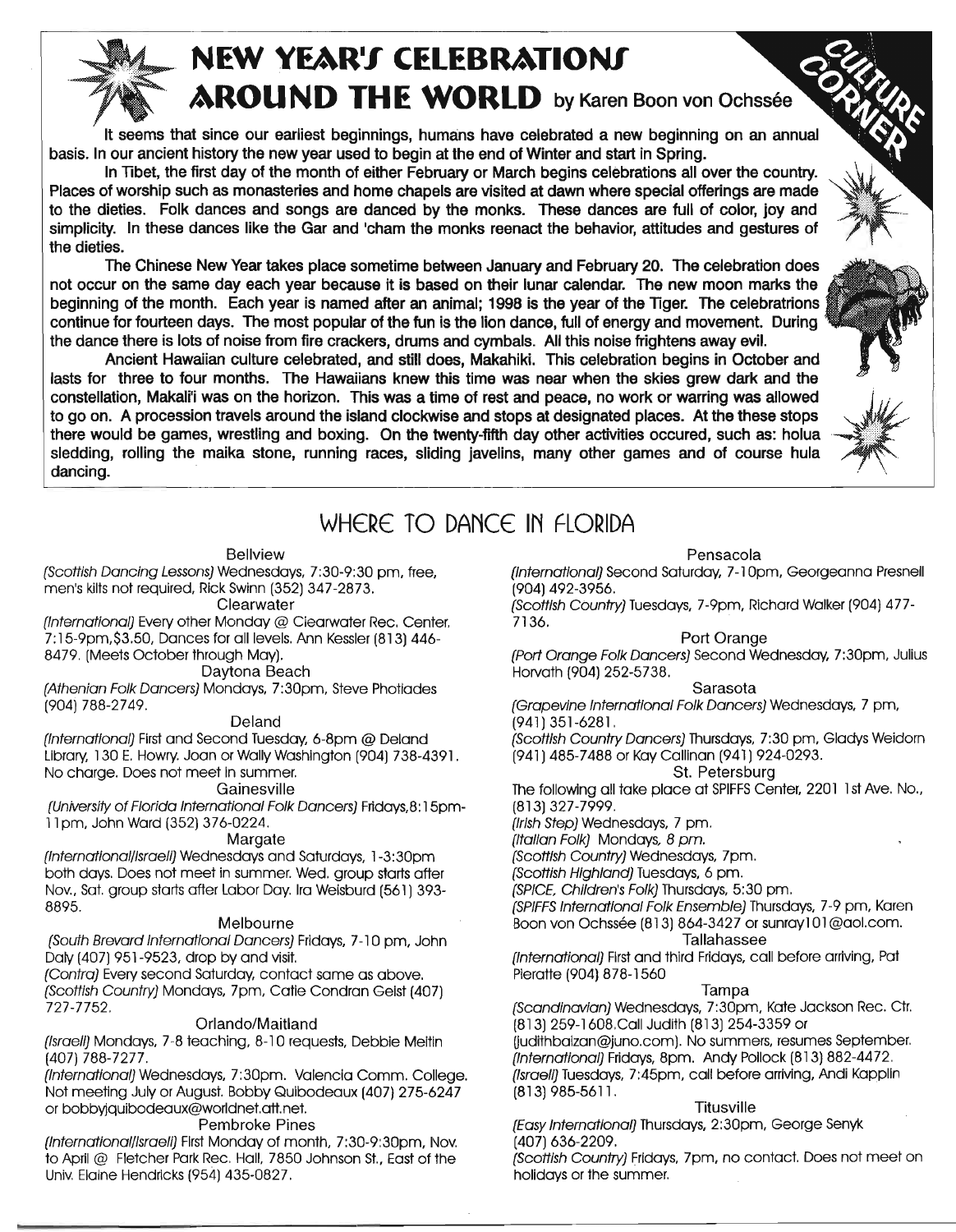

# **NEW YEAR'S CELEBRATIONS AROUND THE WORLD** by Karen Boon von Ochssée

It seems that since our earliest beginnings, humans have celebrated a new beginning on an annual basis. In our ancient history the new year used to begin at the end of Winter and start in Spring.

In Tibet, the first day of the month of either February or March begins celebrations all over the country. Places of worship such as monasteries and home chapels are visited at dawn where special offerings are made to the dieties. Folk dances and songs are danced by the monks. These dances are full of color, joy and simplicity. In these dances like the Gar and 'cham the monks reenact the behavior, attitudes and gestures of the dieties.

The Chinese New Year takes place sometime between January and February 20. The celebration does not occur on the same day each year because it is based on their lunar calendar. The new moon marks the beginning of the month. Each year is named after an animal; 1998 is the year of the TIger. The celebratrions continue for fourteen days. The most popular of the fun is the lion dance, full of energy and movement. During the dance there is lots of noise from fire crackers, drums and cymbals. All this noise frightens away evil.

Ancient Hawaiian culture celebrated, and still does, Makahiki. This celebration begins in October and lasts for three to four months. The Hawaiians knew this time was near when the skies grew dark and the constellation, Makali'i was on the horizon. This was a time of rest and peace, no work or warring was allowed *it* to go on. A procession travels around the island clockwise and stops at designated places. At the these stops there would be games, wrestling and boxing. On the twenty-fifth day other activities occured, such as: holua sledding, rolling the maika stone, running races, sliding javelins, many other games and of course hula dancing.



# WHERE TO DANCE IN FLORIDA

#### Bellview

*{Scottish Dancing Lessons}*Wednesdays, 7:30-9:30 pm, free, men's kilts not required, Rick Swinn (352) 347-2873.

#### **Clearwater**

*{Internatlonalj* Every other Monday @ Clearwater Rec. Center. 7: 15-9pm,\$3.50, Dances for all levels. Ann Kessler(813) 446- 8479. (Meets October through May).

#### Daytona Beach

*{Athenian Folk Dancers}* Mondays, 7:30pm, Steve Photiades (904) 788-2749.

#### Deland

*{International}* Firstand Second Tuesday, 6-8pm @ Deland Library, 130 E. HOWry.Joan or Wally Washington (904) 738-4391. No charge. Does not meet in summer.

#### Gainesville

*{Universityof Florida International Folk Dancers}* Fridays,8:15pm-11pm, John Ward (352) 376-0224.

#### **Margate**

*(International/Israeli)* Wednesdays and Saturdays, 1-3:30pm both days. Does not meet in summer. Wed. group starts after Nov., Sat. group starts after Labor Day. Ira Weisburd (561) 393- 8895.

#### Melbourne

*{South Brevard International Dancers}* Fridays, 7-10 prn. John Daly (407) 951-9523, drop by and visit.

*{Contra}* Every second Saturday, contact same as above. *(Scottish Country)* Mondays, 7pm, Catie Condron Geist (407) 727-7752.

#### Orlando/Maitland

*(Israeli)* Mondays, 7-8 teaching, 8-10 requests, Debbie Meitin (407) 788-7277.

*(InternatIonal)* Wednesdays, 7:30pm. Valencia Comm. College. Not meeting July or August. Bobby Quibodeaux (407) 275-6247 or bobbyjquibodeaux@worldnet.att.net.

#### Pembroke Pines

*(International/Israeli)* First Monday of month, 7:30-9:30pm, Nov. to April @ Fletcher Park Rec. Hall, 7850 Johnson St., East of the Univ.Elaine Hendricks (954) 435-0827.

#### Pensacola

*(Internationalj* Second saturday, 7-1Opm, Georgeanna Presnell (904) 492-3956.

*(Scottish Country)* Tuesdays, 7-9pm, Richard Walker (904) 477- 7136.

#### Port Orange

*(Port Orange Folk Dancers)* Second Wednesday, 7:30pm, Julius Horvath (904) 252-5738.

#### Sarasota

*(Grapevine International Folk Dancers)* Wednesdays, 7 pm, (941) 351-6281.

*(Scottish Country Dancers)* Thursdays, 7:30 pm, Gladys Weidorn (941) 485-7488 or Kay Callinan (941) 924-0293.

#### St. Petersburg

The following all take place at SPIFFS Center, 2201 1st Ave. No., (813) 327-7999.

*(IrIshStep)* Wednesdays, 7 pm.

*(Italian FOlk)* Mondays, 8 *pm.*

*(ScottiSh Country)* Wednesdays, 7pm.

*(ScottiShHighland)* Tuesdays, 6 pm.

*(SPICE Chfldren's Folk)* Thursdays, 5:30 pm.

*(SPIFFSInternational Folk Ensemble)* Thursdays, 7-9 pm, Karen Boon von Ochssee (813) 864-3427 or sunray101@aol.com. Tallahassee

#### *(International)* Firstand third Fridays, call before arriving, Pat Pieratte (904) 878-1560

#### Tampa

*(ScandinavIan)* Wednesdays, 7:30pm, Kate Jackson Rec. ctr. (813) 259-1608.Call Judith (813) 254-3359 or

(judithbaizan@juno.com). No summers, resumes September. *{Internationalj* Fridays, 8pm. Andy Pollock (813) 882-4472. *(Israeli)* Tuesdays, 7:45pm, call before arriving, Andi Kopplin (813) 985-5611.

#### **Titusville**

*(EasyInternational)* Thursdays, 2:30pm, George Senyk (407) 636-2209.

*{ScottiSh Country}* Fridays, 7pm, no contact. Does not meet on holidays or the summer.